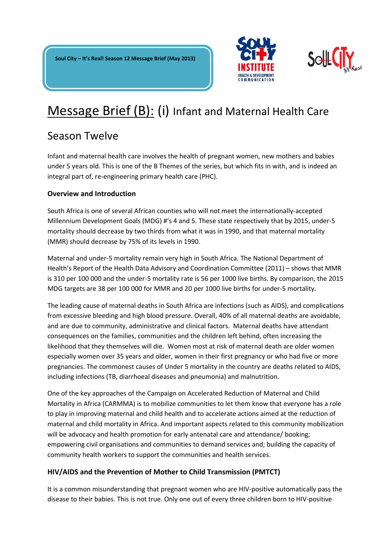**Soul City – It's Real! Season 12 Message Brief (May 2013)** 





# Message Brief (B): (i) Infant and Maternal Health Care

# Season Twelve

Infant and maternal health care involves the health of pregnant women, new mothers and babies under 5 years old. This is one of the B Themes of the series, but which fits in with, and is indeed an integral part of, re-engineering primary health care (PHC).

#### **Overview and Introduction**

South Africa is one of several African counties who will not meet the internationally-accepted Millennium Development Goals (MDG) #'s 4 and 5. These state respectively that by 2015, under-5 mortality should decrease by two thirds from what it was in 1990, and that maternal mortality (MMR) should decrease by 75% of its levels in 1990.

Maternal and under-5 mortality remain very high in South Africa. The National Department of Health's Report of the Health Data Advisory and Coordination Committee (2011) – shows that MMR is 310 per 100 000 and the under-5 mortality rate is 56 per 1000 live births. By comparison, the 2015 MDG targets are 38 per 100 000 for MMR and 20 per 1000 live births for under-5 mortality.

The leading cause of maternal deaths in South Africa are infections (such as AIDS), and complications from excessive bleeding and high blood pressure. Overall, 40% of all maternal deaths are avoidable, and are due to community, administrative and clinical factors. Maternal deaths have attendant consequences on the families, communities and the children left behind, often increasing the likelihood that they themselves will die. Women most at risk of maternal death are older women especially women over 35 years and older, women in their first pregnancy or who had five or more pregnancies. The commonest causes of Under 5 mortality in the country are deaths related to AIDS, including infections (TB, diarrhoeal diseases and pneumonia) and malnutrition.

One of the key approaches of the Campaign on Accelerated Reduction of Maternal and Child Mortality in Africa (CARMMA) is to mobilize communities to let them know that everyone has a role to play in improving maternal and child health and to accelerate actions aimed at the reduction of maternal and child mortality in Africa. And important aspects related to this community mobilization will be advocacy and health promotion for early antenatal care and attendance/ booking; empowering civil organisations and communities to demand services and; building the capacity of community health workers to support the communities and health services.

#### **HIV/AIDS and the Prevention of Mother to Child Transmission (PMTCT)**

It is a common misunderstanding that pregnant women who are HIV-positive automatically pass the disease to their babies. This is not true. Only one out of every three children born to HIV-positive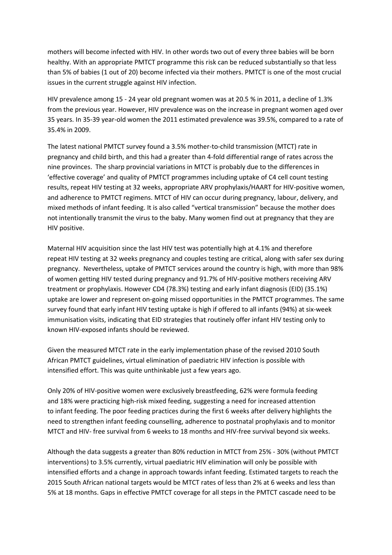mothers will become infected with HIV. In other words two out of every three babies will be born healthy. With an appropriate PMTCT programme this risk can be reduced substantially so that less than 5% of babies (1 out of 20) become infected via their mothers. PMTCT is one of the most crucial issues in the current struggle against HIV infection.

HIV prevalence among 15 - 24 year old pregnant women was at 20.5 % in 2011, a decline of 1.3% from the previous year. However, HIV prevalence was on the increase in pregnant women aged over 35 years. In 35-39 year-old women the 2011 estimated prevalence was 39.5%, compared to a rate of 35.4% in 2009.

The latest national PMTCT survey found a 3.5% mother-to-child transmission (MTCT) rate in pregnancy and child birth, and this had a greater than 4-fold differential range of rates across the nine provinces. The sharp provincial variations in MTCT is probably due to the differences in 'effective coverage' and quality of PMTCT programmes including uptake of C4 cell count testing results, repeat HIV testing at 32 weeks, appropriate ARV prophylaxis/HAART for HIV-positive women, and adherence to PMTCT regimens. MTCT of HIV can occur during pregnancy, labour, delivery, and mixed methods of infant feeding. It is also called "vertical transmission" because the mother does not intentionally transmit the virus to the baby. Many women find out at pregnancy that they are HIV positive.

Maternal HIV acquisition since the last HIV test was potentially high at 4.1% and therefore repeat HIV testing at 32 weeks pregnancy and couples testing are critical, along with safer sex during pregnancy. Nevertheless, uptake of PMTCT services around the country is high, with more than 98% of women getting HIV tested during pregnancy and 91.7% of HIV-positive mothers receiving ARV treatment or prophylaxis. However CD4 (78.3%) testing and early infant diagnosis (EID) (35.1%) uptake are lower and represent on-going missed opportunities in the PMTCT programmes. The same survey found that early infant HIV testing uptake is high if offered to all infants (94%) at six-week immunisation visits, indicating that EID strategies that routinely offer infant HIV testing only to known HIV-exposed infants should be reviewed.

Given the measured MTCT rate in the early implementation phase of the revised 2010 South African PMTCT guidelines, virtual elimination of paediatric HIV infection is possible with intensified effort. This was quite unthinkable just a few years ago.

Only 20% of HIV-positive women were exclusively breastfeeding, 62% were formula feeding and 18% were practicing high-risk mixed feeding, suggesting a need for increased attention to infant feeding. The poor feeding practices during the first 6 weeks after delivery highlights the need to strengthen infant feeding counselling, adherence to postnatal prophylaxis and to monitor MTCT and HIV- free survival from 6 weeks to 18 months and HIV-free survival beyond six weeks.

Although the data suggests a greater than 80% reduction in MTCT from 25% - 30% (without PMTCT interventions) to 3.5% currently, virtual paediatric HIV elimination will only be possible with intensified efforts and a change in approach towards infant feeding. Estimated targets to reach the 2015 South African national targets would be MTCT rates of less than 2% at 6 weeks and less than 5% at 18 months. Gaps in effective PMTCT coverage for all steps in the PMTCT cascade need to be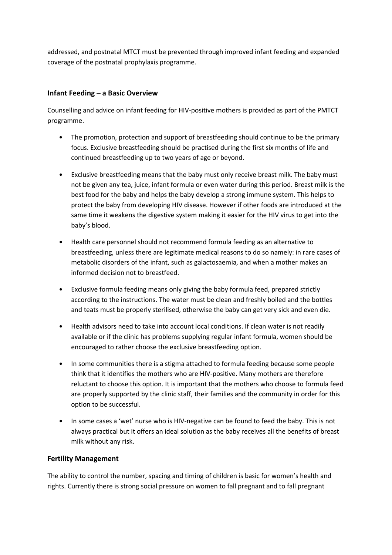addressed, and postnatal MTCT must be prevented through improved infant feeding and expanded coverage of the postnatal prophylaxis programme.

#### **Infant Feeding – a Basic Overview**

Counselling and advice on infant feeding for HIV-positive mothers is provided as part of the PMTCT programme.

- The promotion, protection and support of breastfeeding should continue to be the primary focus. Exclusive breastfeeding should be practised during the first six months of life and continued breastfeeding up to two years of age or beyond.
- Exclusive breastfeeding means that the baby must only receive breast milk. The baby must not be given any tea, juice, infant formula or even water during this period. Breast milk is the best food for the baby and helps the baby develop a strong immune system. This helps to protect the baby from developing HIV disease. However if other foods are introduced at the same time it weakens the digestive system making it easier for the HIV virus to get into the baby's blood.
- Health care personnel should not recommend formula feeding as an alternative to breastfeeding, unless there are legitimate medical reasons to do so namely: in rare cases of metabolic disorders of the infant, such as galactosaemia, and when a mother makes an informed decision not to breastfeed.
- Exclusive formula feeding means only giving the baby formula feed, prepared strictly according to the instructions. The water must be clean and freshly boiled and the bottles and teats must be properly sterilised, otherwise the baby can get very sick and even die.
- Health advisors need to take into account local conditions. If clean water is not readily available or if the clinic has problems supplying regular infant formula, women should be encouraged to rather choose the exclusive breastfeeding option.
- In some communities there is a stigma attached to formula feeding because some people think that it identifies the mothers who are HIV-positive. Many mothers are therefore reluctant to choose this option. It is important that the mothers who choose to formula feed are properly supported by the clinic staff, their families and the community in order for this option to be successful.
- In some cases a 'wet' nurse who is HIV-negative can be found to feed the baby. This is not always practical but it offers an ideal solution as the baby receives all the benefits of breast milk without any risk.

#### **Fertility Management**

The ability to control the number, spacing and timing of children is basic for women's health and rights. Currently there is strong social pressure on women to fall pregnant and to fall pregnant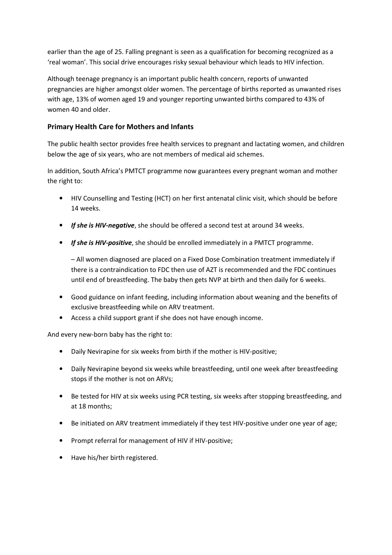earlier than the age of 25. Falling pregnant is seen as a qualification for becoming recognized as a 'real woman'. This social drive encourages risky sexual behaviour which leads to HIV infection.

Although teenage pregnancy is an important public health concern, reports of unwanted pregnancies are higher amongst older women. The percentage of births reported as unwanted rises with age, 13% of women aged 19 and younger reporting unwanted births compared to 43% of women 40 and older.

#### **Primary Health Care for Mothers and Infants**

The public health sector provides free health services to pregnant and lactating women, and children below the age of six years, who are not members of medical aid schemes.

In addition, South Africa's PMTCT programme now guarantees every pregnant woman and mother the right to:

- HIV Counselling and Testing (HCT) on her first antenatal clinic visit, which should be before 14 weeks.
- *If she is HIV-negative*, she should be offered a second test at around 34 weeks.
- *If she is HIV-positive*, she should be enrolled immediately in a PMTCT programme.

– All women diagnosed are placed on a Fixed Dose Combination treatment immediately if there is a contraindication to FDC then use of AZT is recommended and the FDC continues until end of breastfeeding. The baby then gets NVP at birth and then daily for 6 weeks.

- Good guidance on infant feeding, including information about weaning and the benefits of exclusive breastfeeding while on ARV treatment.
- Access a child support grant if she does not have enough income.

And every new-born baby has the right to:

- Daily Nevirapine for six weeks from birth if the mother is HIV-positive;
- Daily Nevirapine beyond six weeks while breastfeeding, until one week after breastfeeding stops if the mother is not on ARVs;
- Be tested for HIV at six weeks using PCR testing, six weeks after stopping breastfeeding, and at 18 months;
- Be initiated on ARV treatment immediately if they test HIV-positive under one year of age;
- Prompt referral for management of HIV if HIV-positive;
- Have his/her birth registered.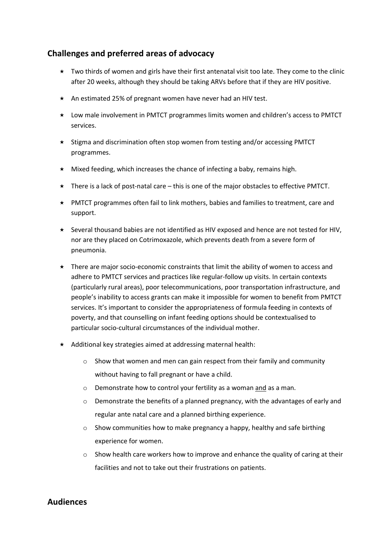# **Challenges and preferred areas of advocacy**

- $\star$  Two thirds of women and girls have their first antenatal visit too late. They come to the clinic after 20 weeks, although they should be taking ARVs before that if they are HIV positive.
- $\star$  An estimated 25% of pregnant women have never had an HIV test.
- $\star$  Low male involvement in PMTCT programmes limits women and children's access to PMTCT services.
- $\star$  Stigma and discrimination often stop women from testing and/or accessing PMTCT programmes.
- Mixed feeding, which increases the chance of infecting a baby, remains high.
- $\star$  There is a lack of post-natal care this is one of the major obstacles to effective PMTCT.
- \* PMTCT programmes often fail to link mothers, babies and families to treatment, care and support.
- $\star$  Several thousand babies are not identified as HIV exposed and hence are not tested for HIV, nor are they placed on Cotrimoxazole, which prevents death from a severe form of pneumonia.
- $\star$  There are major socio-economic constraints that limit the ability of women to access and adhere to PMTCT services and practices like regular-follow up visits. In certain contexts (particularly rural areas), poor telecommunications, poor transportation infrastructure, and people's inability to access grants can make it impossible for women to benefit from PMTCT services. It's important to consider the appropriateness of formula feeding in contexts of poverty, and that counselling on infant feeding options should be contextualised to particular socio-cultural circumstances of the individual mother.
- $\star$  Additional key strategies aimed at addressing maternal health:
	- o Show that women and men can gain respect from their family and community without having to fall pregnant or have a child.
	- o Demonstrate how to control your fertility as a woman and as a man.
	- $\circ$  Demonstrate the benefits of a planned pregnancy, with the advantages of early and regular ante natal care and a planned birthing experience.
	- $\circ$  Show communities how to make pregnancy a happy, healthy and safe birthing experience for women.
	- $\circ$  Show health care workers how to improve and enhance the quality of caring at their facilities and not to take out their frustrations on patients.

## **Audiences**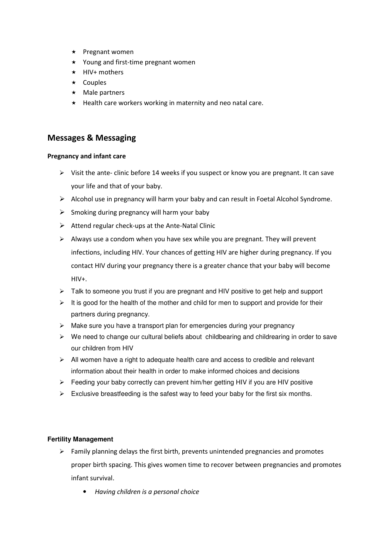- $\star$  Pregnant women
- $\star$  Young and first-time pregnant women
- $\star$  HIV+ mothers
- $\star$  Couples
- $\star$  Male partners
- $\star$  Health care workers working in maternity and neo natal care.

### **Messages & Messaging**

#### **Pregnancy and infant care**

- > Visit the ante- clinic before 14 weeks if you suspect or know you are pregnant. It can save your life and that of your baby.
- > Alcohol use in pregnancy will harm your baby and can result in Foetal Alcohol Syndrome.
- > Smoking during pregnancy will harm your baby
- > Attend regular check-ups at the Ante-Natal Clinic
- > Always use a condom when you have sex while you are pregnant. They will prevent infections, including HIV. Your chances of getting HIV are higher during pregnancy. If you contact HIV during your pregnancy there is a greater chance that your baby will become HIV+.
- > Talk to someone you trust if you are pregnant and HIV positive to get help and support
- $\triangleright$  It is good for the health of the mother and child for men to support and provide for their partners during pregnancy.
- > Make sure you have a transport plan for emergencies during your pregnancy
- > We need to change our cultural beliefs about childbearing and childrearing in order to save our children from HIV
- > All women have a right to adequate health care and access to credible and relevant information about their health in order to make informed choices and decisions
- > Feeding your baby correctly can prevent him/her getting HIV if you are HIV positive
- $\triangleright$  Exclusive breastfeeding is the safest way to feed your baby for the first six months.

#### **Fertility Management**

- > Family planning delays the first birth, prevents unintended pregnancies and promotes proper birth spacing. This gives women time to recover between pregnancies and promotes infant survival.
	- *Having children is a personal choice*